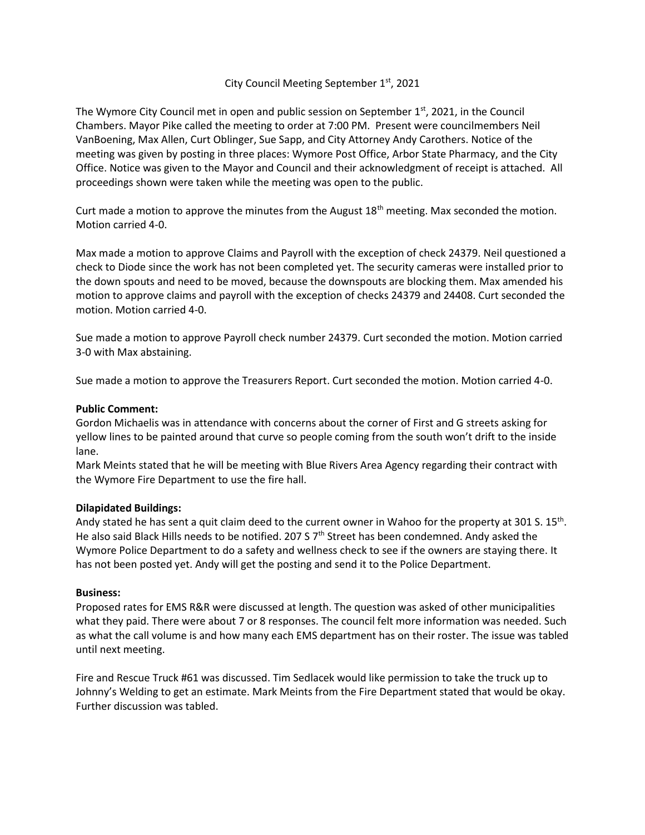## City Council Meeting September 1<sup>st</sup>, 2021

The Wymore City Council met in open and public session on September  $1<sup>st</sup>$ , 2021, in the Council Chambers. Mayor Pike called the meeting to order at 7:00 PM. Present were councilmembers Neil VanBoening, Max Allen, Curt Oblinger, Sue Sapp, and City Attorney Andy Carothers. Notice of the meeting was given by posting in three places: Wymore Post Office, Arbor State Pharmacy, and the City Office. Notice was given to the Mayor and Council and their acknowledgment of receipt is attached. All proceedings shown were taken while the meeting was open to the public.

Curt made a motion to approve the minutes from the August  $18<sup>th</sup>$  meeting. Max seconded the motion. Motion carried 4-0.

Max made a motion to approve Claims and Payroll with the exception of check 24379. Neil questioned a check to Diode since the work has not been completed yet. The security cameras were installed prior to the down spouts and need to be moved, because the downspouts are blocking them. Max amended his motion to approve claims and payroll with the exception of checks 24379 and 24408. Curt seconded the motion. Motion carried 4-0.

Sue made a motion to approve Payroll check number 24379. Curt seconded the motion. Motion carried 3-0 with Max abstaining.

Sue made a motion to approve the Treasurers Report. Curt seconded the motion. Motion carried 4-0.

## **Public Comment:**

Gordon Michaelis was in attendance with concerns about the corner of First and G streets asking for yellow lines to be painted around that curve so people coming from the south won't drift to the inside lane.

Mark Meints stated that he will be meeting with Blue Rivers Area Agency regarding their contract with the Wymore Fire Department to use the fire hall.

## **Dilapidated Buildings:**

Andy stated he has sent a quit claim deed to the current owner in Wahoo for the property at 301 S. 15<sup>th</sup>. He also said Black Hills needs to be notified. 207 S  $7<sup>th</sup>$  Street has been condemned. Andy asked the Wymore Police Department to do a safety and wellness check to see if the owners are staying there. It has not been posted yet. Andy will get the posting and send it to the Police Department.

## **Business:**

Proposed rates for EMS R&R were discussed at length. The question was asked of other municipalities what they paid. There were about 7 or 8 responses. The council felt more information was needed. Such as what the call volume is and how many each EMS department has on their roster. The issue was tabled until next meeting.

Fire and Rescue Truck #61 was discussed. Tim Sedlacek would like permission to take the truck up to Johnny's Welding to get an estimate. Mark Meints from the Fire Department stated that would be okay. Further discussion was tabled.